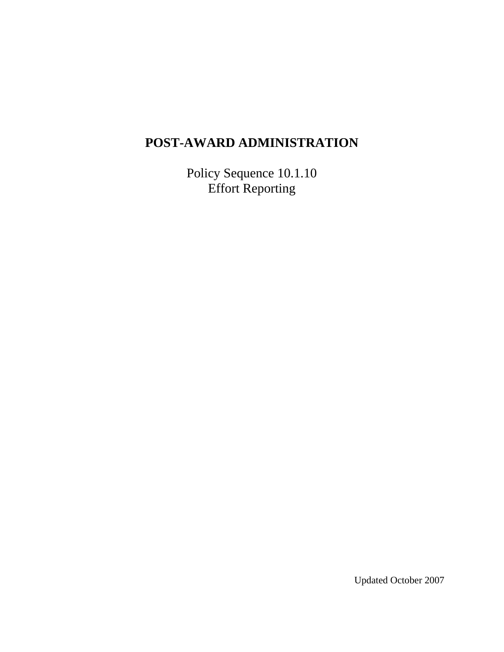# **POST-AWARD ADMINISTRATION**

Policy Sequence 10.1.10 Effort Reporting

Updated October 2007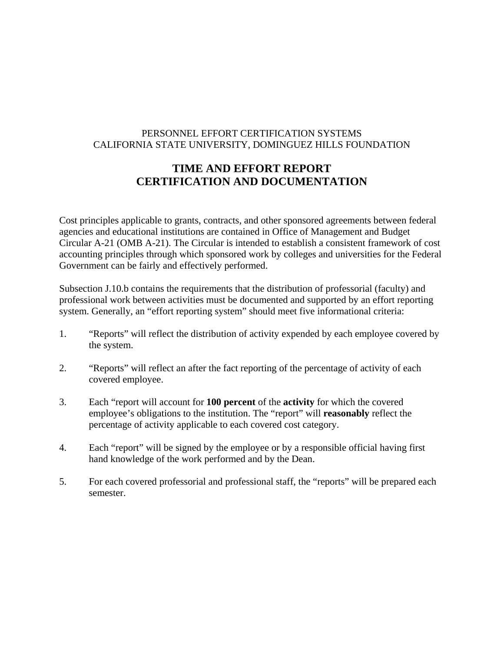# PERSONNEL EFFORT CERTIFICATION SYSTEMS CALIFORNIA STATE UNIVERSITY, DOMINGUEZ HILLS FOUNDATION

# **TIME AND EFFORT REPORT CERTIFICATION AND DOCUMENTATION**

Cost principles applicable to grants, contracts, and other sponsored agreements between federal agencies and educational institutions are contained in Office of Management and Budget Circular A-21 (OMB A-21). The Circular is intended to establish a consistent framework of cost accounting principles through which sponsored work by colleges and universities for the Federal Government can be fairly and effectively performed.

Subsection J.10.b contains the requirements that the distribution of professorial (faculty) and professional work between activities must be documented and supported by an effort reporting system. Generally, an "effort reporting system" should meet five informational criteria:

- 1. "Reports" will reflect the distribution of activity expended by each employee covered by the system.
- 2. "Reports" will reflect an after the fact reporting of the percentage of activity of each covered employee.
- 3. Each "report will account for **100 percent** of the **activity** for which the covered employee's obligations to the institution. The "report" will **reasonably** reflect the percentage of activity applicable to each covered cost category.
- 4. Each "report" will be signed by the employee or by a responsible official having first hand knowledge of the work performed and by the Dean.
- 5. For each covered professorial and professional staff, the "reports" will be prepared each semester.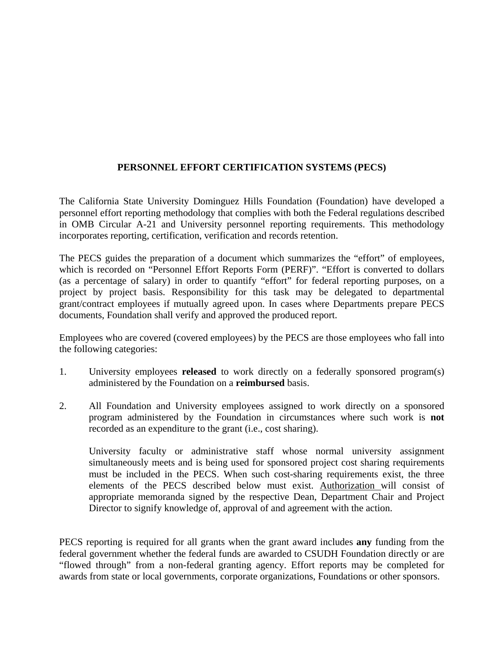# **PERSONNEL EFFORT CERTIFICATION SYSTEMS (PECS)**

The California State University Dominguez Hills Foundation (Foundation) have developed a personnel effort reporting methodology that complies with both the Federal regulations described in OMB Circular A-21 and University personnel reporting requirements. This methodology incorporates reporting, certification, verification and records retention.

The PECS guides the preparation of a document which summarizes the "effort" of employees, which is recorded on "Personnel Effort Reports Form (PERF)". "Effort is converted to dollars (as a percentage of salary) in order to quantify "effort" for federal reporting purposes, on a project by project basis. Responsibility for this task may be delegated to departmental grant/contract employees if mutually agreed upon. In cases where Departments prepare PECS documents, Foundation shall verify and approved the produced report.

Employees who are covered (covered employees) by the PECS are those employees who fall into the following categories:

- 1. University employees **released** to work directly on a federally sponsored program(s) administered by the Foundation on a **reimbursed** basis.
- 2. All Foundation and University employees assigned to work directly on a sponsored program administered by the Foundation in circumstances where such work is **not**  recorded as an expenditure to the grant (i.e., cost sharing).

 University faculty or administrative staff whose normal university assignment simultaneously meets and is being used for sponsored project cost sharing requirements must be included in the PECS. When such cost-sharing requirements exist, the three elements of the PECS described below must exist. Authorization will consist of appropriate memoranda signed by the respective Dean, Department Chair and Project Director to signify knowledge of, approval of and agreement with the action.

PECS reporting is required for all grants when the grant award includes **any** funding from the federal government whether the federal funds are awarded to CSUDH Foundation directly or are "flowed through" from a non-federal granting agency. Effort reports may be completed for awards from state or local governments, corporate organizations, Foundations or other sponsors.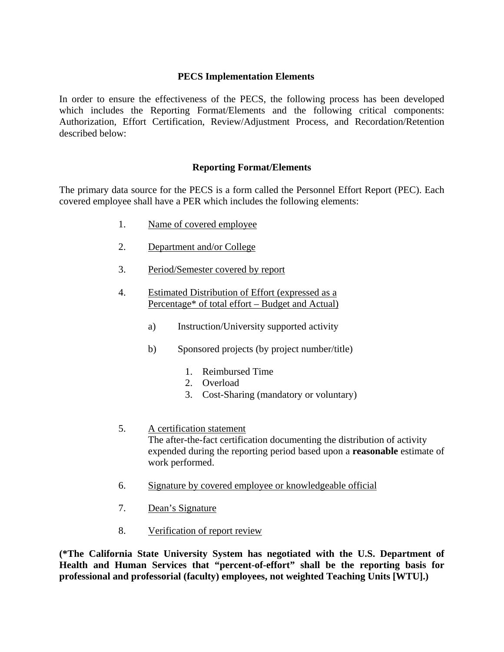#### **PECS Implementation Elements**

In order to ensure the effectiveness of the PECS, the following process has been developed which includes the Reporting Format/Elements and the following critical components: Authorization, Effort Certification, Review/Adjustment Process, and Recordation/Retention described below:

#### **Reporting Format/Elements**

The primary data source for the PECS is a form called the Personnel Effort Report (PEC). Each covered employee shall have a PER which includes the following elements:

- 1. Name of covered employee
- 2. Department and/or College
- 3. Period/Semester covered by report
- 4. Estimated Distribution of Effort (expressed as a Percentage\* of total effort – Budget and Actual)
	- a) Instruction/University supported activity
	- b) Sponsored projects (by project number/title)
		- 1. Reimbursed Time
		- 2. Overload
		- 3. Cost-Sharing (mandatory or voluntary)
- 5. A certification statement

The after-the-fact certification documenting the distribution of activity expended during the reporting period based upon a **reasonable** estimate of work performed.

- 6. Signature by covered employee or knowledgeable official
- 7. Dean's Signature
- 8. Verification of report review

**(\*The California State University System has negotiated with the U.S. Department of Health and Human Services that "percent-of-effort" shall be the reporting basis for professional and professorial (faculty) employees, not weighted Teaching Units [WTU].)**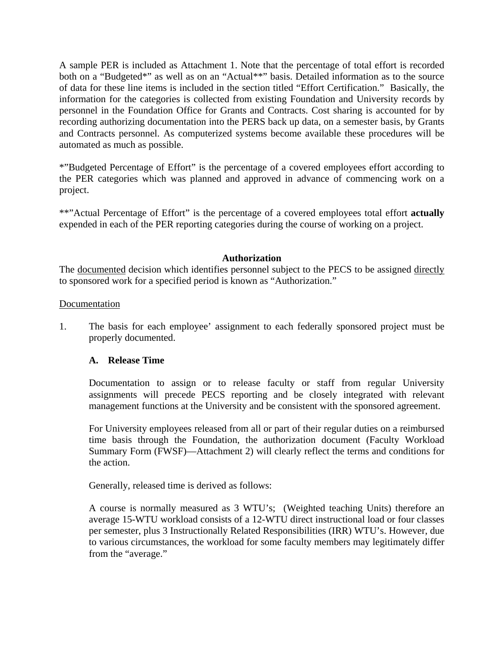A sample PER is included as Attachment 1. Note that the percentage of total effort is recorded both on a "Budgeted\*" as well as on an "Actual\*\*" basis. Detailed information as to the source of data for these line items is included in the section titled "Effort Certification." Basically, the information for the categories is collected from existing Foundation and University records by personnel in the Foundation Office for Grants and Contracts. Cost sharing is accounted for by recording authorizing documentation into the PERS back up data, on a semester basis, by Grants and Contracts personnel. As computerized systems become available these procedures will be automated as much as possible.

\*"Budgeted Percentage of Effort" is the percentage of a covered employees effort according to the PER categories which was planned and approved in advance of commencing work on a project.

\*\*"Actual Percentage of Effort" is the percentage of a covered employees total effort **actually**  expended in each of the PER reporting categories during the course of working on a project.

#### **Authorization**

The documented decision which identifies personnel subject to the PECS to be assigned directly to sponsored work for a specified period is known as "Authorization."

#### Documentation

1. The basis for each employee' assignment to each federally sponsored project must be properly documented.

#### **A. Release Time**

Documentation to assign or to release faculty or staff from regular University assignments will precede PECS reporting and be closely integrated with relevant management functions at the University and be consistent with the sponsored agreement.

For University employees released from all or part of their regular duties on a reimbursed time basis through the Foundation, the authorization document (Faculty Workload Summary Form (FWSF)—Attachment 2) will clearly reflect the terms and conditions for the action.

Generally, released time is derived as follows:

A course is normally measured as 3 WTU's; (Weighted teaching Units) therefore an average 15-WTU workload consists of a 12-WTU direct instructional load or four classes per semester, plus 3 Instructionally Related Responsibilities (IRR) WTU's. However, due to various circumstances, the workload for some faculty members may legitimately differ from the "average."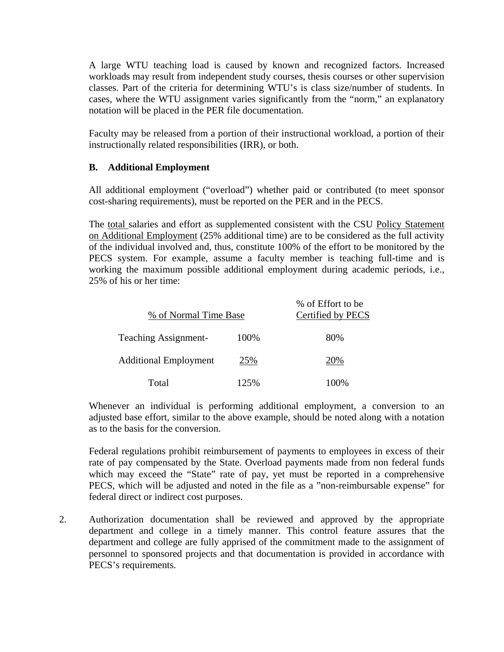A large WTU teaching load is caused by known and recognized factors. Increased workloads may result from independent study courses, thesis courses or other supervision classes. Part of the criteria for determining WTU's is class size/number of students. In cases, where the WTU assignment varies significantly from the "norm," an explanatory notation will be placed in the PER file documentation.

Faculty may be released from a portion of their instructional workload, a portion of their instructionally related responsibilities (IRR), or both.

## **B. Additional Employment**

All additional employment ("overload") whether paid or contributed (to meet sponsor cost-sharing requirements), must be reported on the PER and in the PECS.

The total salaries and effort as supplemented consistent with the CSU Policy Statement on Additional Employment (25% additional time) are to be considered as the full activity of the individual involved and, thus, constitute 100% of the effort to be monitored by the PECS system. For example, assume a faculty member is teaching full-time and is working the maximum possible additional employment during academic periods, i.e., 25% of his or her time:

| % of Normal Time Base        |      | % of Effort to be<br>Certified by PECS |
|------------------------------|------|----------------------------------------|
| <b>Teaching Assignment-</b>  | 100% | 80%                                    |
| <b>Additional Employment</b> | 25%  | 20%                                    |
| Total                        | 125% | 100%                                   |

Whenever an individual is performing additional employment, a conversion to an adjusted base effort, similar to the above example, should be noted along with a notation as to the basis for the conversion.

Federal regulations prohibit reimbursement of payments to employees in excess of their rate of pay compensated by the State. Overload payments made from non federal funds which may exceed the "State" rate of pay, yet must be reported in a comprehensive PECS, which will be adjusted and noted in the file as a "non-reimbursable expense" for federal direct or indirect cost purposes.

2. Authorization documentation shall be reviewed and approved by the appropriate department and college in a timely manner. This control feature assures that the department and college are fully apprised of the commitment made to the assignment of personnel to sponsored projects and that documentation is provided in accordance with PECS's requirements.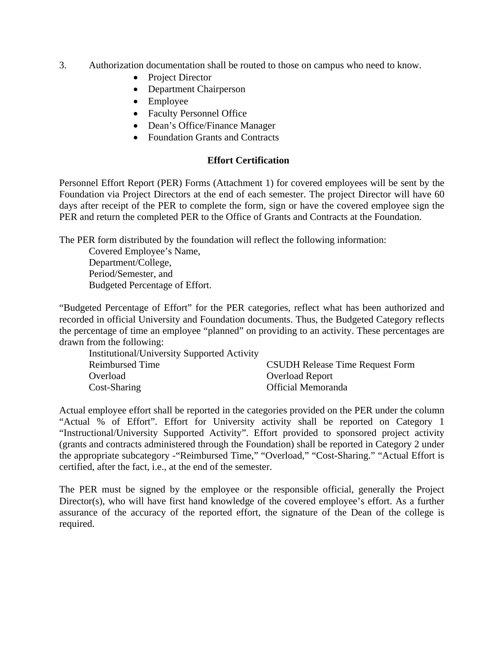- 3. Authorization documentation shall be routed to those on campus who need to know.
	- Project Director
	- Department Chairperson
	- Employee
	- Faculty Personnel Office
	- Dean's Office/Finance Manager
	- Foundation Grants and Contracts

# **Effort Certification**

Personnel Effort Report (PER) Forms (Attachment 1) for covered employees will be sent by the Foundation via Project Directors at the end of each semester. The project Director will have 60 days after receipt of the PER to complete the form, sign or have the covered employee sign the PER and return the completed PER to the Office of Grants and Contracts at the Foundation.

The PER form distributed by the foundation will reflect the following information:

 Covered Employee's Name, Department/College, Period/Semester, and Budgeted Percentage of Effort.

"Budgeted Percentage of Effort" for the PER categories, reflect what has been authorized and recorded in official University and Foundation documents. Thus, the Budgeted Category reflects the percentage of time an employee "planned" on providing to an activity. These percentages are drawn from the following:

| <b>Institutional/University Supported Activity</b> |                                        |
|----------------------------------------------------|----------------------------------------|
| Reimbursed Time                                    | <b>CSUDH Release Time Request Form</b> |
| Overload                                           | <b>Overload Report</b>                 |
| Cost-Sharing                                       | Official Memoranda                     |

Actual employee effort shall be reported in the categories provided on the PER under the column "Actual % of Effort". Effort for University activity shall be reported on Category 1 "Instructional/University Supported Activity". Effort provided to sponsored project activity (grants and contracts administered through the Foundation) shall be reported in Category 2 under the appropriate subcategory -"Reimbursed Time," "Overload," "Cost-Sharing." "Actual Effort is certified, after the fact, i.e., at the end of the semester.

The PER must be signed by the employee or the responsible official, generally the Project Director(s), who will have first hand knowledge of the covered employee's effort. As a further assurance of the accuracy of the reported effort, the signature of the Dean of the college is required.